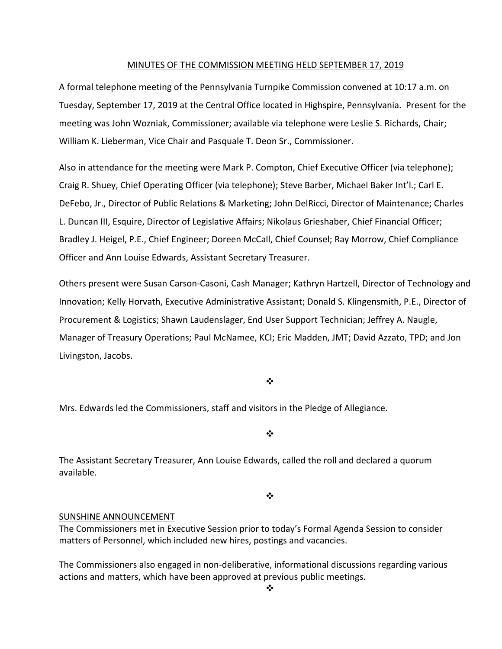### MINUTES OF THE COMMISSION MEETING HELD SEPTEMBER 17, 2019

A formal telephone meeting of the Pennsylvania Turnpike Commission convened at 10:17 a.m. on Tuesday, September 17, 2019 at the Central Office located in Highspire, Pennsylvania. Present for the meeting was John Wozniak, Commissioner; available via telephone were Leslie S. Richards, Chair; William K. Lieberman, Vice Chair and Pasquale T. Deon Sr., Commissioner.

Also in attendance for the meeting were Mark P. Compton, Chief Executive Officer (via telephone); Craig R. Shuey, Chief Operating Officer (via telephone); Steve Barber, Michael Baker Int'l.; Carl E. DeFebo, Jr., Director of Public Relations & Marketing; John DelRicci, Director of Maintenance; Charles L. Duncan III, Esquire, Director of Legislative Affairs; Nikolaus Grieshaber, Chief Financial Officer; Bradley J. Heigel, P.E., Chief Engineer; Doreen McCall, Chief Counsel; Ray Morrow, Chief Compliance Officer and Ann Louise Edwards, Assistant Secretary Treasurer.

Others present were Susan Carson‐Casoni, Cash Manager; Kathryn Hartzell, Director of Technology and Innovation; Kelly Horvath, Executive Administrative Assistant; Donald S. Klingensmith, P.E., Director of Procurement & Logistics; Shawn Laudenslager, End User Support Technician; Jeffrey A. Naugle, Manager of Treasury Operations; Paul McNamee, KCI; Eric Madden, JMT; David Azzato, TPD; and Jon Livingston, Jacobs.

#### ❖

Mrs. Edwards led the Commissioners, staff and visitors in the Pledge of Allegiance.

❖

The Assistant Secretary Treasurer, Ann Louise Edwards, called the roll and declared a quorum available.

 $\bullet^{\bullet}_{\bullet} \bullet$ 

#### SUNSHINE ANNOUNCEMENT

The Commissioners met in Executive Session prior to today's Formal Agenda Session to consider matters of Personnel, which included new hires, postings and vacancies.

The Commissioners also engaged in non‐deliberative, informational discussions regarding various actions and matters, which have been approved at previous public meetings.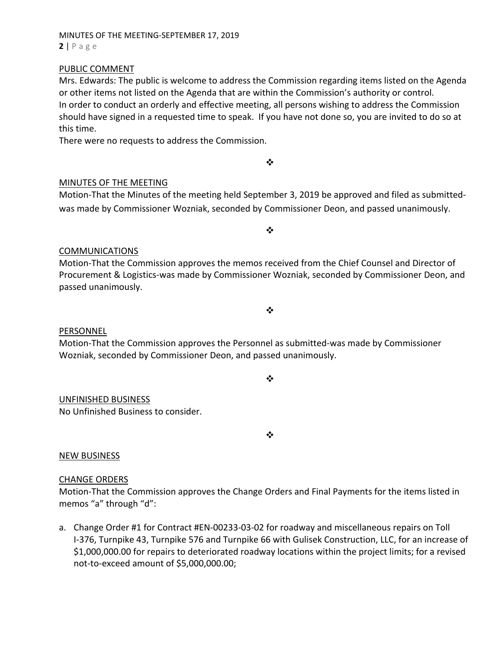## MINUTES OF THE MEETING‐SEPTEMBER 17, 2019 **2** | Page

## PUBLIC COMMENT

Mrs. Edwards: The public is welcome to address the Commission regarding items listed on the Agenda or other items not listed on the Agenda that are within the Commission's authority or control. In order to conduct an orderly and effective meeting, all persons wishing to address the Commission should have signed in a requested time to speak. If you have not done so, you are invited to do so at this time.

There were no requests to address the Commission.

## MINUTES OF THE MEETING

Motion‐That the Minutes of the meeting held September 3, 2019 be approved and filed as submitted‐ was made by Commissioner Wozniak, seconded by Commissioner Deon, and passed unanimously.

❖

 $\bullet^{\bullet}_{\bullet} \bullet$ 

# COMMUNICATIONS

Motion‐That the Commission approves the memos received from the Chief Counsel and Director of Procurement & Logistics‐was made by Commissioner Wozniak, seconded by Commissioner Deon, and passed unanimously.

 $\bullet^{\bullet}_{\bullet} \bullet$ 

## PERSONNEL

Motion‐That the Commission approves the Personnel as submitted‐was made by Commissioner Wozniak, seconded by Commissioner Deon, and passed unanimously.

 $\cdot$ 

## UNFINISHED BUSINESS

No Unfinished Business to consider.

❖

## NEW BUSINESS

## CHANGE ORDERS

Motion‐That the Commission approves the Change Orders and Final Payments for the items listed in memos "a" through "d":

a. Change Order #1 for Contract #EN‐00233‐03‐02 for roadway and miscellaneous repairs on Toll I‐376, Turnpike 43, Turnpike 576 and Turnpike 66 with Gulisek Construction, LLC, for an increase of \$1,000,000.00 for repairs to deteriorated roadway locations within the project limits; for a revised not‐to‐exceed amount of \$5,000,000.00;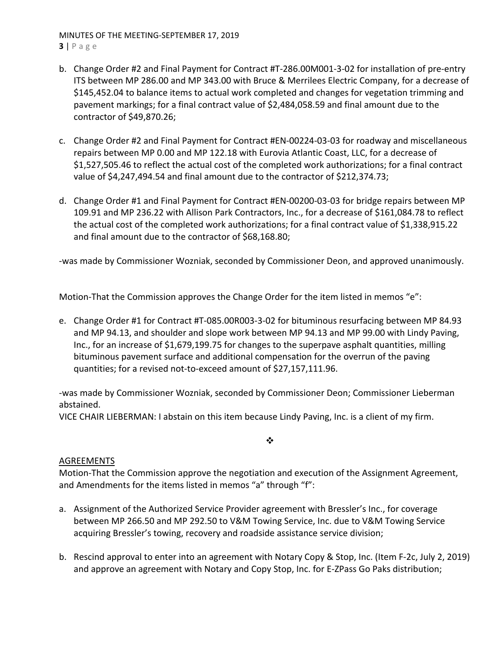MINUTES OF THE MEETING‐SEPTEMBER 17, 2019 **3** | Page

- b. Change Order #2 and Final Payment for Contract #T-286.00M001-3-02 for installation of pre-entry ITS between MP 286.00 and MP 343.00 with Bruce & Merrilees Electric Company, for a decrease of \$145,452.04 to balance items to actual work completed and changes for vegetation trimming and pavement markings; for a final contract value of \$2,484,058.59 and final amount due to the contractor of \$49,870.26;
- c. Change Order #2 and Final Payment for Contract #EN‐00224‐03‐03 for roadway and miscellaneous repairs between MP 0.00 and MP 122.18 with Eurovia Atlantic Coast, LLC, for a decrease of \$1,527,505.46 to reflect the actual cost of the completed work authorizations; for a final contract value of \$4,247,494.54 and final amount due to the contractor of \$212,374.73;
- d. Change Order #1 and Final Payment for Contract #EN‐00200‐03‐03 for bridge repairs between MP 109.91 and MP 236.22 with Allison Park Contractors, Inc., for a decrease of \$161,084.78 to reflect the actual cost of the completed work authorizations; for a final contract value of \$1,338,915.22 and final amount due to the contractor of \$68,168.80;

‐was made by Commissioner Wozniak, seconded by Commissioner Deon, and approved unanimously.

Motion-That the Commission approves the Change Order for the item listed in memos "e":

e. Change Order #1 for Contract #T‐085.00R003‐3‐02 for bituminous resurfacing between MP 84.93 and MP 94.13, and shoulder and slope work between MP 94.13 and MP 99.00 with Lindy Paving, Inc., for an increase of \$1,679,199.75 for changes to the superpave asphalt quantities, milling bituminous pavement surface and additional compensation for the overrun of the paving quantities; for a revised not‐to‐exceed amount of \$27,157,111.96.

‐was made by Commissioner Wozniak, seconded by Commissioner Deon; Commissioner Lieberman abstained.

VICE CHAIR LIEBERMAN: I abstain on this item because Lindy Paving, Inc. is a client of my firm.

 $\frac{1}{2}$ 

# AGREEMENTS

Motion‐That the Commission approve the negotiation and execution of the Assignment Agreement, and Amendments for the items listed in memos "a" through "f":

- a. Assignment of the Authorized Service Provider agreement with Bressler's Inc., for coverage between MP 266.50 and MP 292.50 to V&M Towing Service, Inc. due to V&M Towing Service acquiring Bressler's towing, recovery and roadside assistance service division;
- b. Rescind approval to enter into an agreement with Notary Copy & Stop, Inc. (Item F‐2c, July 2, 2019) and approve an agreement with Notary and Copy Stop, Inc. for E‐ZPass Go Paks distribution;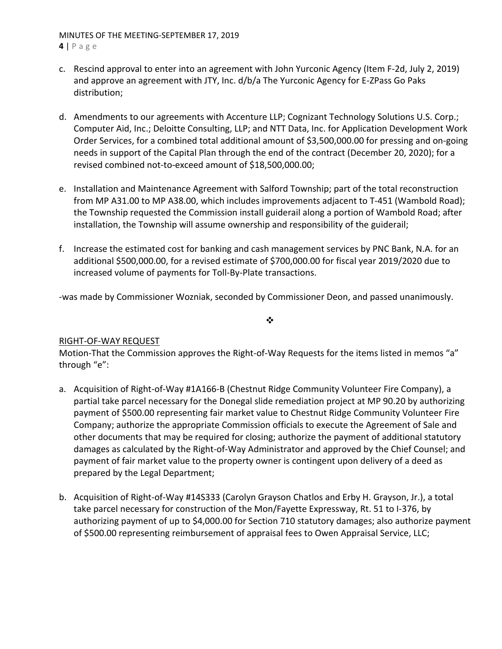# MINUTES OF THE MEETING‐SEPTEMBER 17, 2019

**4** | Page

- c. Rescind approval to enter into an agreement with John Yurconic Agency (Item F‐2d, July 2, 2019) and approve an agreement with JTY, Inc. d/b/a The Yurconic Agency for E-ZPass Go Paks distribution;
- d. Amendments to our agreements with Accenture LLP; Cognizant Technology Solutions U.S. Corp.; Computer Aid, Inc.; Deloitte Consulting, LLP; and NTT Data, Inc. for Application Development Work Order Services, for a combined total additional amount of \$3,500,000.00 for pressing and on‐going needs in support of the Capital Plan through the end of the contract (December 20, 2020); for a revised combined not‐to‐exceed amount of \$18,500,000.00;
- e. Installation and Maintenance Agreement with Salford Township; part of the total reconstruction from MP A31.00 to MP A38.00, which includes improvements adjacent to T-451 (Wambold Road); the Township requested the Commission install guiderail along a portion of Wambold Road; after installation, the Township will assume ownership and responsibility of the guiderail;
- f. Increase the estimated cost for banking and cash management services by PNC Bank, N.A. for an additional \$500,000.00, for a revised estimate of \$700,000.00 for fiscal year 2019/2020 due to increased volume of payments for Toll‐By‐Plate transactions.

‐was made by Commissioner Wozniak, seconded by Commissioner Deon, and passed unanimously.

 $\frac{1}{2}$ 

# RIGHT‐OF‐WAY REQUEST

Motion-That the Commission approves the Right-of-Way Requests for the items listed in memos "a" through "e":

- a. Acquisition of Right-of-Way #1A166-B (Chestnut Ridge Community Volunteer Fire Company), a partial take parcel necessary for the Donegal slide remediation project at MP 90.20 by authorizing payment of \$500.00 representing fair market value to Chestnut Ridge Community Volunteer Fire Company; authorize the appropriate Commission officials to execute the Agreement of Sale and other documents that may be required for closing; authorize the payment of additional statutory damages as calculated by the Right‐of‐Way Administrator and approved by the Chief Counsel; and payment of fair market value to the property owner is contingent upon delivery of a deed as prepared by the Legal Department;
- b. Acquisition of Right‐of‐Way #14S333 (Carolyn Grayson Chatlos and Erby H. Grayson, Jr.), a total take parcel necessary for construction of the Mon/Fayette Expressway, Rt. 51 to I‐376, by authorizing payment of up to \$4,000.00 for Section 710 statutory damages; also authorize payment of \$500.00 representing reimbursement of appraisal fees to Owen Appraisal Service, LLC;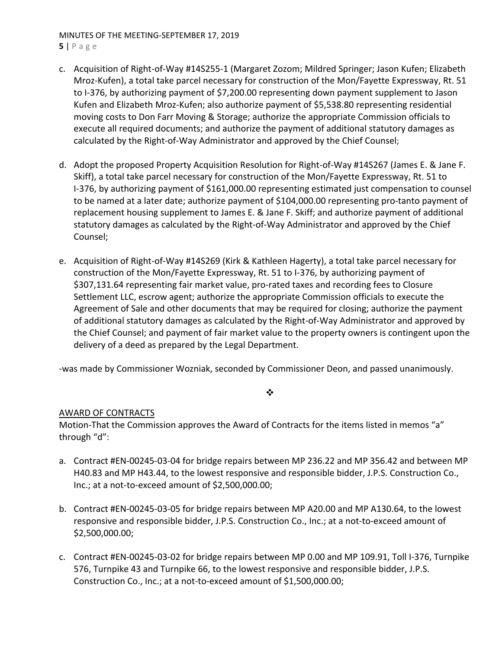## MINUTES OF THE MEETING‐SEPTEMBER 17, 2019 **5** | Page

- c. Acquisition of Right‐of‐Way #14S255‐1 (Margaret Zozom; Mildred Springer; Jason Kufen; Elizabeth Mroz‐Kufen), a total take parcel necessary for construction of the Mon/Fayette Expressway, Rt. 51 to I‐376, by authorizing payment of \$7,200.00 representing down payment supplement to Jason Kufen and Elizabeth Mroz‐Kufen; also authorize payment of \$5,538.80 representing residential moving costs to Don Farr Moving & Storage; authorize the appropriate Commission officials to execute all required documents; and authorize the payment of additional statutory damages as calculated by the Right‐of‐Way Administrator and approved by the Chief Counsel;
- d. Adopt the proposed Property Acquisition Resolution for Right‐of‐Way #14S267 (James E. & Jane F. Skiff), a total take parcel necessary for construction of the Mon/Fayette Expressway, Rt. 51 to I‐376, by authorizing payment of \$161,000.00 representing estimated just compensation to counsel to be named at a later date; authorize payment of \$104,000.00 representing pro-tanto payment of replacement housing supplement to James E. & Jane F. Skiff; and authorize payment of additional statutory damages as calculated by the Right‐of‐Way Administrator and approved by the Chief Counsel;
- e. Acquisition of Right‐of‐Way #14S269 (Kirk & Kathleen Hagerty), a total take parcel necessary for construction of the Mon/Fayette Expressway, Rt. 51 to I‐376, by authorizing payment of \$307,131.64 representing fair market value, pro‐rated taxes and recording fees to Closure Settlement LLC, escrow agent; authorize the appropriate Commission officials to execute the Agreement of Sale and other documents that may be required for closing; authorize the payment of additional statutory damages as calculated by the Right‐of‐Way Administrator and approved by the Chief Counsel; and payment of fair market value to the property owners is contingent upon the delivery of a deed as prepared by the Legal Department.

‐was made by Commissioner Wozniak, seconded by Commissioner Deon, and passed unanimously.

 $\ddot{\bullet}$ 

# AWARD OF CONTRACTS

Motion-That the Commission approves the Award of Contracts for the items listed in memos "a" through "d":

- a. Contract #EN‐00245‐03‐04 for bridge repairs between MP 236.22 and MP 356.42 and between MP H40.83 and MP H43.44, to the lowest responsive and responsible bidder, J.P.S. Construction Co., Inc.; at a not‐to‐exceed amount of \$2,500,000.00;
- b. Contract #EN‐00245‐03‐05 for bridge repairs between MP A20.00 and MP A130.64, to the lowest responsive and responsible bidder, J.P.S. Construction Co., Inc.; at a not‐to‐exceed amount of \$2,500,000.00;
- c. Contract #EN‐00245‐03‐02 for bridge repairs between MP 0.00 and MP 109.91, Toll I‐376, Turnpike 576, Turnpike 43 and Turnpike 66, to the lowest responsive and responsible bidder, J.P.S. Construction Co., Inc.; at a not‐to‐exceed amount of \$1,500,000.00;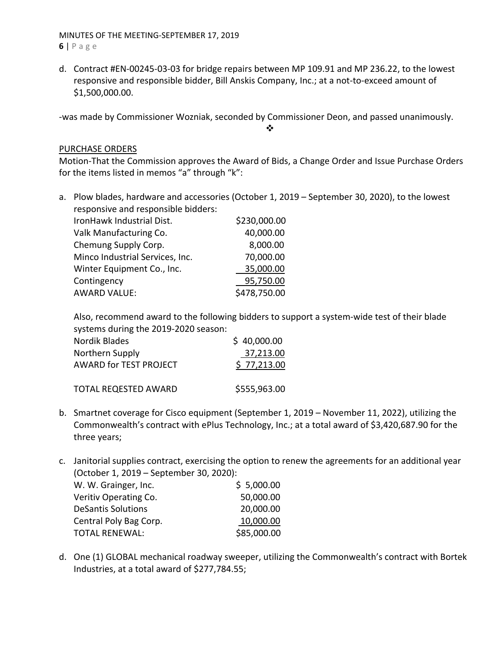MINUTES OF THE MEETING‐SEPTEMBER 17, 2019 **6** | Page

d. Contract #EN‐00245‐03‐03 for bridge repairs between MP 109.91 and MP 236.22, to the lowest responsive and responsible bidder, Bill Anskis Company, Inc.; at a not‐to‐exceed amount of \$1,500,000.00.

‐was made by Commissioner Wozniak, seconded by Commissioner Deon, and passed unanimously.

 $\frac{1}{2}$ 

## PURCHASE ORDERS

Motion‐That the Commission approves the Award of Bids, a Change Order and Issue Purchase Orders for the items listed in memos "a" through "k":

a. Plow blades, hardware and accessories (October 1, 2019 – September 30, 2020), to the lowest responsive and responsible bidders:

| IronHawk Industrial Dist.       | \$230,000.00 |
|---------------------------------|--------------|
| Valk Manufacturing Co.          | 40,000.00    |
| Chemung Supply Corp.            | 8,000.00     |
| Minco Industrial Services, Inc. | 70,000.00    |
| Winter Equipment Co., Inc.      | 35,000.00    |
| Contingency                     | 95,750.00    |
| <b>AWARD VALUE:</b>             | \$478,750.00 |

Also, recommend award to the following bidders to support a system‐wide test of their blade systems during the 2019‐2020 season:

| Nordik Blades               | \$40,000.00  |
|-----------------------------|--------------|
| Northern Supply             | 37,213.00    |
| AWARD for TEST PROJECT      | \$77,213.00  |
|                             |              |
| <b>TOTAL REQESTED AWARD</b> | \$555,963.00 |

- b. Smartnet coverage for Cisco equipment (September 1, 2019 November 11, 2022), utilizing the Commonwealth's contract with ePlus Technology, Inc.; at a total award of \$3,420,687.90 for the three years;
- c. Janitorial supplies contract, exercising the option to renew the agreements for an additional year (October 1, 2019 – September 30, 2020): W. W. Grainger, Inc.  $\frac{1}{5}$  5,000.00 Veritiv Operating Co. 50,000.00 DeSantis Solutions 20,000.00 Central Poly Bag Corp. 10,000.00 TOTAL RENEWAL:  $$85,000.00$
- d. One (1) GLOBAL mechanical roadway sweeper, utilizing the Commonwealth's contract with Bortek Industries, at a total award of \$277,784.55;